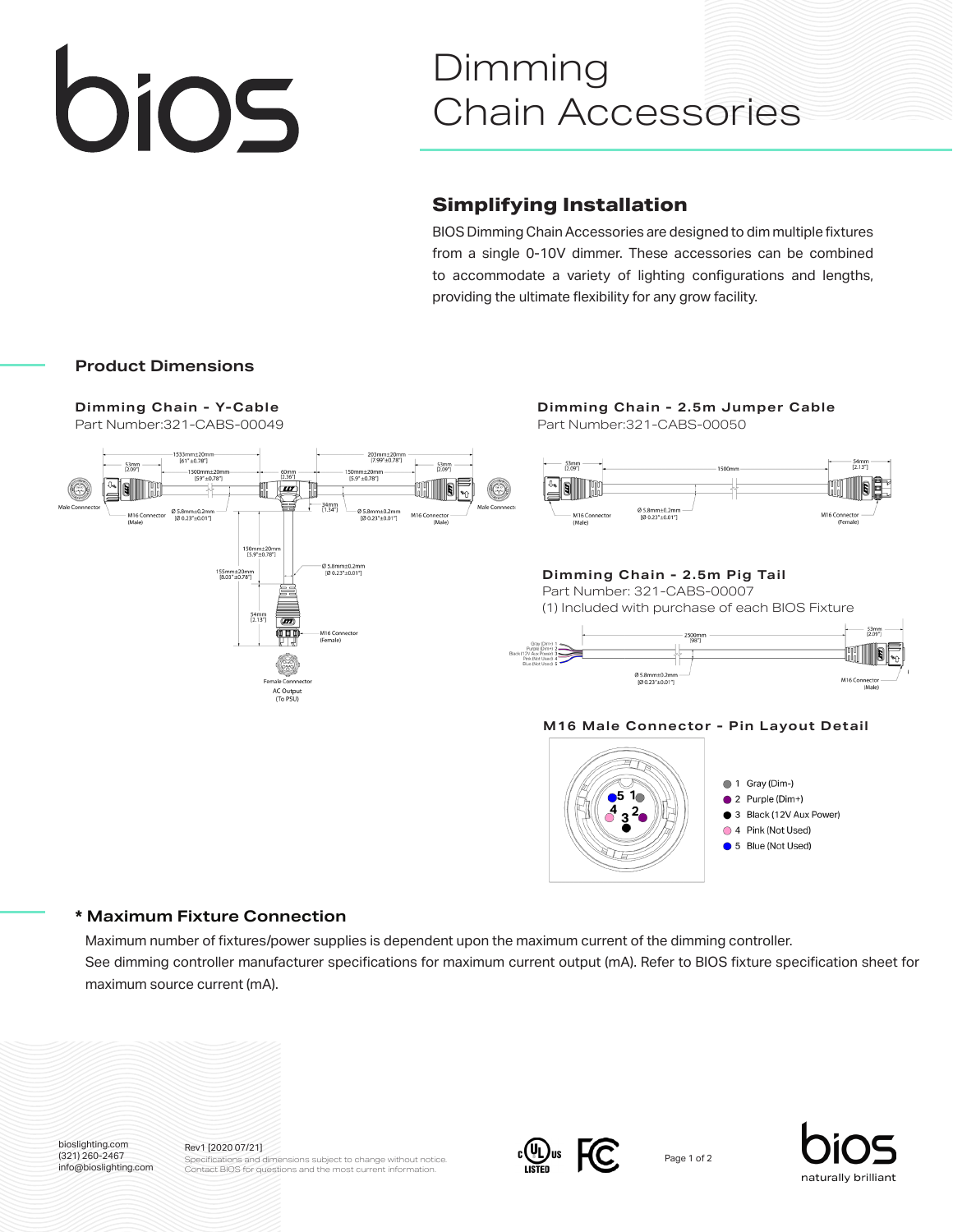# bios

## Dimming Chain Accessories

### **Simplifying Installation**

BIOS Dimming Chain Accessories are designed to dim multiple fixtures from a single 0-10V dimmer. These accessories can be combined to accommodate a variety of lighting configurations and lengths, providing the ultimate flexibility for any grow facility.

#### **Product Dimensions**

**Dimming Chain - Y-Cable**



Part Number:321-CABS-00049 Part Number:321-CABS-00050 **Dimming Chain - 2.5m Jumper Cable**



Part Number: 321-CABS-00007 (1) Included with purchase of each BIOS Fixture **Dimming Chain - 2.5m Pig Tail**



#### **M16 Male Connector - Pin Layout Detail**



- $\bullet$  2 Purple (Dim+)
- 3 Black (12V Aux Power)
- 
- 

#### **\* Maximum Fixture Connection**

Maximum number of fixtures/power supplies is dependent upon the maximum current of the dimming controller. See dimming controller manufacturer specifications for maximum current output (mA). Refer to BIOS fixture specification sheet for maximum source current (mA).



(321) 260-2467 info@bioslighting.com Rev1 [2020 07/21] Specifications and dimensions subject to change without notice. Contact BIOS for questions and the most current information.